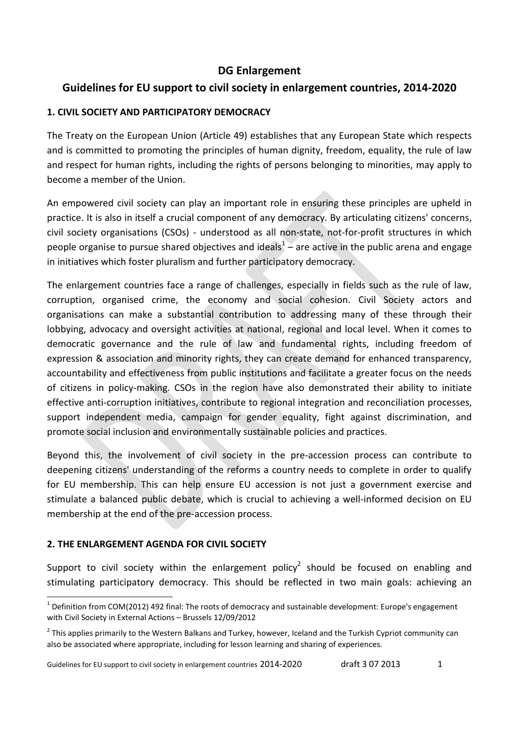## **DG Enlargement**

# **Guidelines for EU support to civil society in enlargement countries, 2014-2020**

## **1. CIVIL SOCIETY AND PARTICIPATORY DEMOCRACY**

The Treaty on the European Union (Article 49) establishes that any European State which respects and is committed to promoting the principles of human dignity, freedom, equality, the rule of law and respect for human rights, including the rights of persons belonging to minorities, may apply to become a member of the Union.

An empowered civil society can play an important role in ensuring these principles are upheld in practice. It is also in itself a crucial component of any democracy. By articulating citizens' concerns, civil society organisations (CSOs) - understood as all non-state, not-for-profit structures in which people organise to pursue shared objectives and ideals<sup>1</sup> – are active in the public arena and engage in initiatives which foster pluralism and further participatory democracy.

The enlargement countries face a range of challenges, especially in fields such as the rule of law, corruption, organised crime, the economy and social cohesion. Civil Society actors and organisations can make a substantial contribution to addressing many of these through their lobbying, advocacy and oversight activities at national, regional and local level. When it comes to democratic governance and the rule of law and fundamental rights, including freedom of expression & association and minority rights, they can create demand for enhanced transparency, accountability and effectiveness from public institutions and facilitate a greater focus on the needs of citizens in policy-making. CSOs in the region have also demonstrated their ability to initiate effective anti-corruption initiatives, contribute to regional integration and reconciliation processes, support independent media, campaign for gender equality, fight against discrimination, and promote social inclusion and environmentally sustainable policies and practices.

Beyond this, the involvement of civil society in the pre-accession process can contribute to deepening citizens' understanding of the reforms a country needs to complete in order to qualify for EU membership. This can help ensure EU accession is not just a government exercise and stimulate a balanced public debate, which is crucial to achieving a well-informed decision on EU membership at the end of the pre-accession process.

#### **2. THE ENLARGEMENT AGENDA FOR CIVIL SOCIETY**

Support to civil society within the enlargement policy<sup>2</sup> should be focused on enabling and stimulating participatory democracy. This should be reflected in two main goals: achieving an

 $\overline{a}$  $1$  Definition from COM(2012) 492 final: The roots of democracy and sustainable development: Europe's engagement with Civil Society in External Actions – Brussels 12/09/2012

<sup>&</sup>lt;sup>2</sup> This applies primarily to the Western Balkans and Turkey, however, Iceland and the Turkish Cypriot community can also be associated where appropriate, including for lesson learning and sharing of experiences.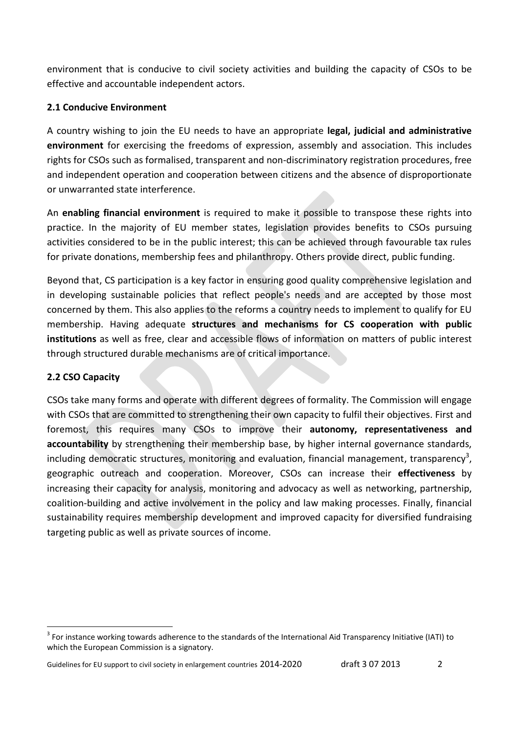environment that is conducive to civil society activities and building the capacity of CSOs to be effective and accountable independent actors.

### **2.1 Conducive Environment**

A country wishing to join the EU needs to have an appropriate **legal, judicial and administrative environment** for exercising the freedoms of expression, assembly and association. This includes rights for CSOs such as formalised, transparent and non-discriminatory registration procedures, free and independent operation and cooperation between citizens and the absence of disproportionate or unwarranted state interference.

An **enabling financial environment** is required to make it possible to transpose these rights into practice. In the majority of EU member states, legislation provides benefits to CSOs pursuing activities considered to be in the public interest; this can be achieved through favourable tax rules for private donations, membership fees and philanthropy. Others provide direct, public funding.

Beyond that, CS participation is a key factor in ensuring good quality comprehensive legislation and in developing sustainable policies that reflect people's needs and are accepted by those most concerned by them. This also applies to the reforms a country needs to implement to qualify for EU membership. Having adequate **structures and mechanisms for CS cooperation with public institutions** as well as free, clear and accessible flows of information on matters of public interest through structured durable mechanisms are of critical importance.

## **2.2 CSO Capacity**

**.** 

CSOs take many forms and operate with different degrees of formality. The Commission will engage with CSOs that are committed to strengthening their own capacity to fulfil their objectives. First and foremost, this requires many CSOs to improve their **autonomy, representativeness and accountability** by strengthening their membership base, by higher internal governance standards, including democratic structures, monitoring and evaluation, financial management, transparency<sup>3</sup>, geographic outreach and cooperation. Moreover, CSOs can increase their **effectiveness** by increasing their capacity for analysis, monitoring and advocacy as well as networking, partnership, coalition-building and active involvement in the policy and law making processes. Finally, financial sustainability requires membership development and improved capacity for diversified fundraising targeting public as well as private sources of income.

 $3$  For instance working towards adherence to the standards of the International Aid Transparency Initiative (IATI) to which the European Commission is a signatory.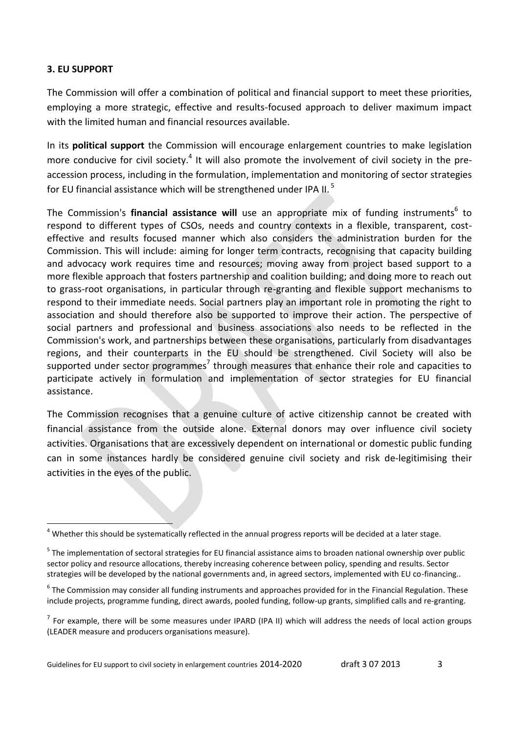#### **3. EU SUPPORT**

**.** 

The Commission will offer a combination of political and financial support to meet these priorities, employing a more strategic, effective and results-focused approach to deliver maximum impact with the limited human and financial resources available.

In its **political support** the Commission will encourage enlargement countries to make legislation more conducive for civil society.<sup>4</sup> It will also promote the involvement of civil society in the preaccession process, including in the formulation, implementation and monitoring of sector strategies for EU financial assistance which will be strengthened under IPA II.<sup>5</sup>

The Commission's **financial assistance will** use an appropriate mix of funding instruments<sup>6</sup> to respond to different types of CSOs, needs and country contexts in a flexible, transparent, costeffective and results focused manner which also considers the administration burden for the Commission. This will include: aiming for longer term contracts, recognising that capacity building and advocacy work requires time and resources; moving away from project based support to a more flexible approach that fosters partnership and coalition building; and doing more to reach out to grass-root organisations, in particular through re-granting and flexible support mechanisms to respond to their immediate needs. Social partners play an important role in promoting the right to association and should therefore also be supported to improve their action. The perspective of social partners and professional and business associations also needs to be reflected in the Commission's work, and partnerships between these organisations, particularly from disadvantages regions, and their counterparts in the EU should be strengthened. Civil Society will also be supported under sector programmes<sup>7</sup> through measures that enhance their role and capacities to participate actively in formulation and implementation of sector strategies for EU financial assistance.

The Commission recognises that a genuine culture of active citizenship cannot be created with financial assistance from the outside alone. External donors may over influence civil society activities. Organisations that are excessively dependent on international or domestic public funding can in some instances hardly be considered genuine civil society and risk de-legitimising their activities in the eyes of the public.

 $4$  Whether this should be systematically reflected in the annual progress reports will be decided at a later stage.

<sup>&</sup>lt;sup>5</sup> The implementation of sectoral strategies for EU financial assistance aims to broaden national ownership over public sector policy and resource allocations, thereby increasing coherence between policy, spending and results. Sector strategies will be developed by the national governments and, in agreed sectors, implemented with EU co-financing..

<sup>&</sup>lt;sup>6</sup> The Commission may consider all funding instruments and approaches provided for in the Financial Regulation. These include projects, programme funding, direct awards, pooled funding, follow-up grants, simplified calls and re-granting.

 $<sup>7</sup>$  For example, there will be some measures under IPARD (IPA II) which will address the needs of local action groups</sup> (LEADER measure and producers organisations measure).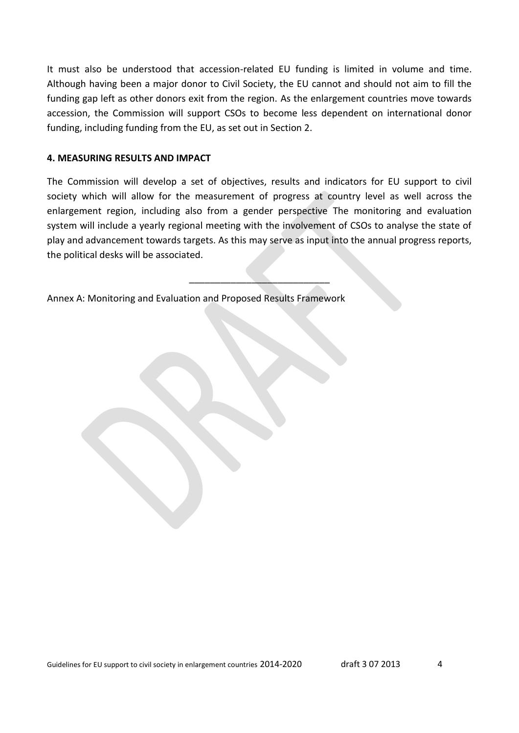It must also be understood that accession-related EU funding is limited in volume and time. Although having been a major donor to Civil Society, the EU cannot and should not aim to fill the funding gap left as other donors exit from the region. As the enlargement countries move towards accession, the Commission will support CSOs to become less dependent on international donor funding, including funding from the EU, as set out in Section 2.

#### **4. MEASURING RESULTS AND IMPACT**

The Commission will develop a set of objectives, results and indicators for EU support to civil society which will allow for the measurement of progress at country level as well across the enlargement region, including also from a gender perspective The monitoring and evaluation system will include a yearly regional meeting with the involvement of CSOs to analyse the state of play and advancement towards targets. As this may serve as input into the annual progress reports, the political desks will be associated.

\_\_\_\_\_\_\_\_\_\_\_\_\_\_\_\_\_\_\_\_\_\_\_\_\_\_\_

Annex A: Monitoring and Evaluation and Proposed Results Framework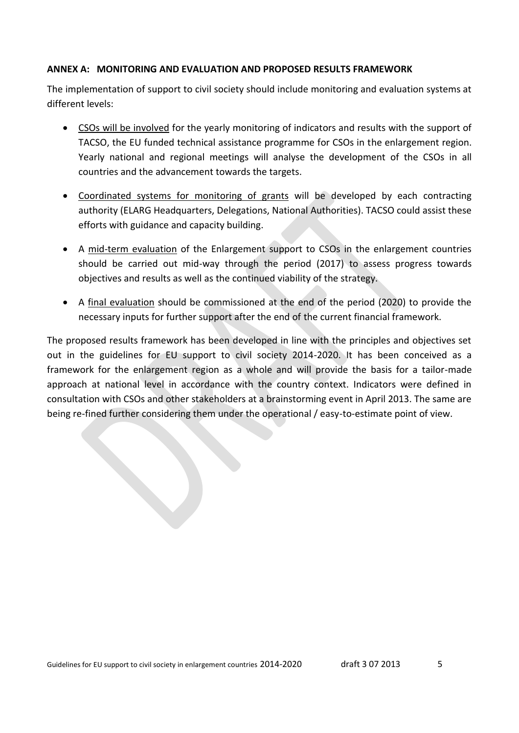#### **ANNEX A: MONITORING AND EVALUATION AND PROPOSED RESULTS FRAMEWORK**

The implementation of support to civil society should include monitoring and evaluation systems at different levels:

- CSOs will be involved for the yearly monitoring of indicators and results with the support of TACSO, the EU funded technical assistance programme for CSOs in the enlargement region. Yearly national and regional meetings will analyse the development of the CSOs in all countries and the advancement towards the targets.
- Coordinated systems for monitoring of grants will be developed by each contracting authority (ELARG Headquarters, Delegations, National Authorities). TACSO could assist these efforts with guidance and capacity building.
- A mid-term evaluation of the Enlargement support to CSOs in the enlargement countries should be carried out mid-way through the period (2017) to assess progress towards objectives and results as well as the continued viability of the strategy.
- A final evaluation should be commissioned at the end of the period (2020) to provide the necessary inputs for further support after the end of the current financial framework.

The proposed results framework has been developed in line with the principles and objectives set out in the guidelines for EU support to civil society 2014-2020. It has been conceived as a framework for the enlargement region as a whole and will provide the basis for a tailor-made approach at national level in accordance with the country context. Indicators were defined in consultation with CSOs and other stakeholders at a brainstorming event in April 2013. The same are being re-fined further considering them under the operational / easy-to-estimate point of view.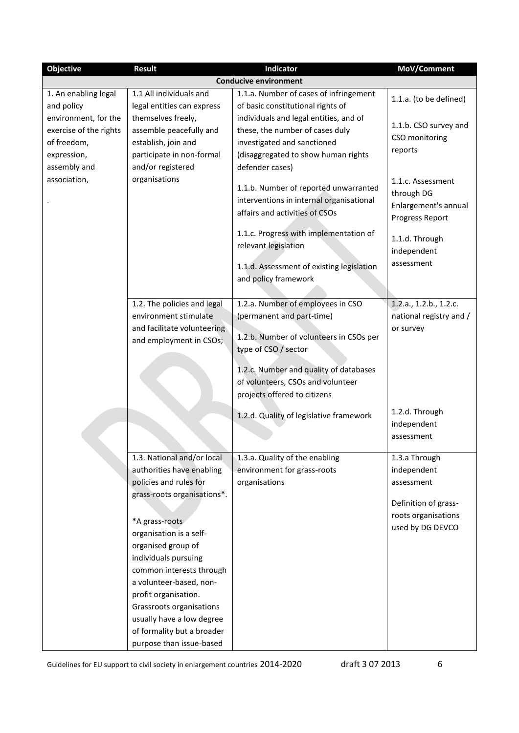| <b>Objective</b>                                                                             | <b>Result</b>                                                                                                                                                                                                 | Indicator                                                                                                                                                          | MoV/Comment                                                                                                   |
|----------------------------------------------------------------------------------------------|---------------------------------------------------------------------------------------------------------------------------------------------------------------------------------------------------------------|--------------------------------------------------------------------------------------------------------------------------------------------------------------------|---------------------------------------------------------------------------------------------------------------|
|                                                                                              |                                                                                                                                                                                                               | <b>Conducive environment</b>                                                                                                                                       |                                                                                                               |
| 1. An enabling legal<br>and policy                                                           | 1.1 All individuals and<br>legal entities can express                                                                                                                                                         | 1.1.a. Number of cases of infringement<br>of basic constitutional rights of                                                                                        | 1.1.a. (to be defined)                                                                                        |
| environment, for the<br>exercise of the rights<br>of freedom,<br>expression,<br>assembly and | themselves freely,<br>assemble peacefully and<br>establish, join and<br>participate in non-formal<br>and/or registered                                                                                        | individuals and legal entities, and of<br>these, the number of cases duly<br>investigated and sanctioned<br>(disaggregated to show human rights<br>defender cases) | 1.1.b. CSO survey and<br>CSO monitoring<br>reports                                                            |
| association,                                                                                 | organisations                                                                                                                                                                                                 | 1.1.b. Number of reported unwarranted<br>interventions in internal organisational<br>affairs and activities of CSOs                                                | 1.1.c. Assessment<br>through DG<br>Enlargement's annual<br>Progress Report                                    |
|                                                                                              |                                                                                                                                                                                                               | 1.1.c. Progress with implementation of<br>relevant legislation                                                                                                     | 1.1.d. Through<br>independent                                                                                 |
|                                                                                              |                                                                                                                                                                                                               | 1.1.d. Assessment of existing legislation<br>and policy framework                                                                                                  | assessment                                                                                                    |
|                                                                                              | 1.2. The policies and legal<br>environment stimulate<br>and facilitate volunteering<br>and employment in CSOs;                                                                                                | 1.2.a. Number of employees in CSO<br>(permanent and part-time)<br>1.2.b. Number of volunteers in CSOs per<br>type of CSO / sector                                  | 1.2.a., 1.2.b., 1.2.c.<br>national registry and /<br>or survey                                                |
|                                                                                              |                                                                                                                                                                                                               | 1.2.c. Number and quality of databases<br>of volunteers, CSOs and volunteer<br>projects offered to citizens                                                        |                                                                                                               |
|                                                                                              |                                                                                                                                                                                                               | 1.2.d. Quality of legislative framework                                                                                                                            | 1.2.d. Through<br>independent<br>assessment                                                                   |
|                                                                                              | 1.3. National and/or local<br>authorities have enabling<br>policies and rules for<br>grass-roots organisations*.<br>*A grass-roots                                                                            | 1.3.a. Quality of the enabling<br>environment for grass-roots<br>organisations                                                                                     | 1.3.a Through<br>independent<br>assessment<br>Definition of grass-<br>roots organisations<br>used by DG DEVCO |
|                                                                                              | organisation is a self-<br>organised group of<br>individuals pursuing<br>common interests through<br>a volunteer-based, non-<br>profit organisation.<br>Grassroots organisations<br>usually have a low degree |                                                                                                                                                                    |                                                                                                               |
|                                                                                              | of formality but a broader<br>purpose than issue-based                                                                                                                                                        |                                                                                                                                                                    |                                                                                                               |

Guidelines for EU support to civil society in enlargement countries 2014-2020 draft 3 07 2013 6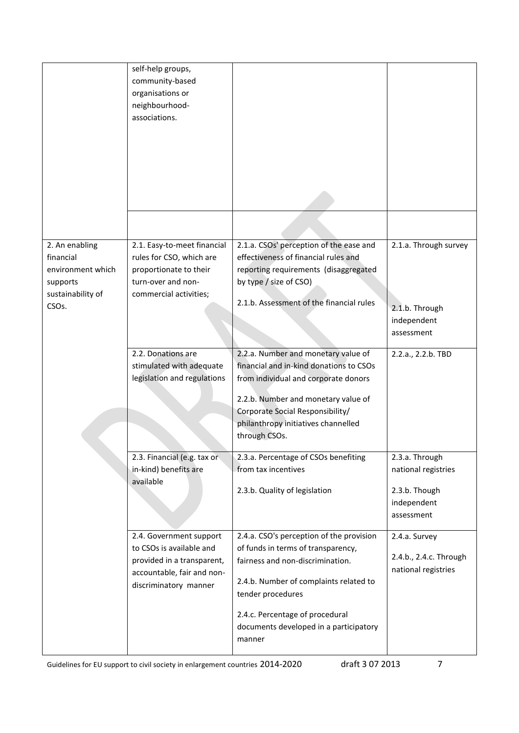|                                                                                                         | self-help groups,<br>community-based<br>organisations or<br>neighbourhood-<br>associations.                                              |                                                                                                                                                                                                                                                                          |                                                                                     |
|---------------------------------------------------------------------------------------------------------|------------------------------------------------------------------------------------------------------------------------------------------|--------------------------------------------------------------------------------------------------------------------------------------------------------------------------------------------------------------------------------------------------------------------------|-------------------------------------------------------------------------------------|
|                                                                                                         |                                                                                                                                          |                                                                                                                                                                                                                                                                          |                                                                                     |
| 2. An enabling<br>financial<br>environment which<br>supports<br>sustainability of<br>CSO <sub>s</sub> . | 2.1. Easy-to-meet financial<br>rules for CSO, which are<br>proportionate to their<br>turn-over and non-<br>commercial activities;        | 2.1.a. CSOs' perception of the ease and<br>effectiveness of financial rules and<br>reporting requirements (disaggregated<br>by type / size of CSO)<br>2.1.b. Assessment of the financial rules                                                                           | 2.1.a. Through survey<br>2.1.b. Through<br>independent<br>assessment                |
|                                                                                                         | 2.2. Donations are<br>stimulated with adequate<br>legislation and regulations                                                            | 2.2.a. Number and monetary value of<br>financial and in-kind donations to CSOs<br>from individual and corporate donors<br>2.2.b. Number and monetary value of<br>Corporate Social Responsibility/<br>philanthropy initiatives channelled<br>through CSOs.                | 2.2.a., 2.2.b. TBD                                                                  |
|                                                                                                         | 2.3. Financial (e.g. tax or<br>in-kind) benefits are<br>available                                                                        | 2.3.a. Percentage of CSOs benefiting<br>from tax incentives<br>2.3.b. Quality of legislation                                                                                                                                                                             | 2.3.a. Through<br>national registries<br>2.3.b. Though<br>independent<br>assessment |
|                                                                                                         | 2.4. Government support<br>to CSOs is available and<br>provided in a transparent,<br>accountable, fair and non-<br>discriminatory manner | 2.4.a. CSO's perception of the provision<br>of funds in terms of transparency,<br>fairness and non-discrimination.<br>2.4.b. Number of complaints related to<br>tender procedures<br>2.4.c. Percentage of procedural<br>documents developed in a participatory<br>manner | 2.4.a. Survey<br>2.4.b., 2.4.c. Through<br>national registries                      |

Guidelines for EU support to civil society in enlargement countries 2014-2020 draft 3 07 2013 7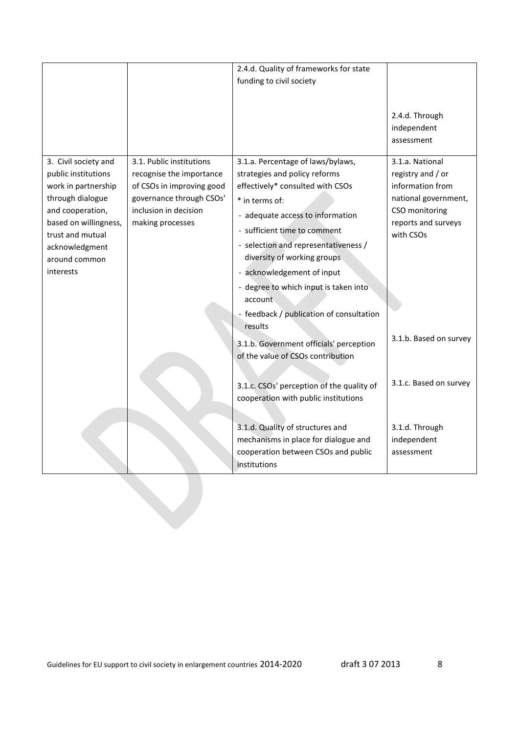|                                                                                                                                                                                                         |                                                                                                                                                            | 2.4.d. Quality of frameworks for state                                                                                                                                                                                                                                                                                                                                                            |                                                                                                                                        |
|---------------------------------------------------------------------------------------------------------------------------------------------------------------------------------------------------------|------------------------------------------------------------------------------------------------------------------------------------------------------------|---------------------------------------------------------------------------------------------------------------------------------------------------------------------------------------------------------------------------------------------------------------------------------------------------------------------------------------------------------------------------------------------------|----------------------------------------------------------------------------------------------------------------------------------------|
|                                                                                                                                                                                                         |                                                                                                                                                            | funding to civil society                                                                                                                                                                                                                                                                                                                                                                          |                                                                                                                                        |
|                                                                                                                                                                                                         |                                                                                                                                                            |                                                                                                                                                                                                                                                                                                                                                                                                   |                                                                                                                                        |
|                                                                                                                                                                                                         |                                                                                                                                                            |                                                                                                                                                                                                                                                                                                                                                                                                   | 2.4.d. Through<br>independent<br>assessment                                                                                            |
| 3. Civil society and<br>public institutions<br>work in partnership<br>through dialogue<br>and cooperation,<br>based on willingness,<br>trust and mutual<br>acknowledgment<br>around common<br>interests | 3.1. Public institutions<br>recognise the importance<br>of CSOs in improving good<br>governance through CSOs'<br>inclusion in decision<br>making processes | 3.1.a. Percentage of laws/bylaws,<br>strategies and policy reforms<br>effectively* consulted with CSOs<br>* in terms of:<br>- adequate access to information<br>- sufficient time to comment<br>- selection and representativeness /<br>diversity of working groups<br>- acknowledgement of input<br>- degree to which input is taken into<br>account<br>- feedback / publication of consultation | 3.1.a. National<br>registry and / or<br>information from<br>national government,<br>CSO monitoring<br>reports and surveys<br>with CSOs |
|                                                                                                                                                                                                         |                                                                                                                                                            | results<br>3.1.b. Government officials' perception<br>of the value of CSOs contribution                                                                                                                                                                                                                                                                                                           | 3.1.b. Based on survey                                                                                                                 |
|                                                                                                                                                                                                         |                                                                                                                                                            | 3.1.c. CSOs' perception of the quality of<br>cooperation with public institutions                                                                                                                                                                                                                                                                                                                 | 3.1.c. Based on survey                                                                                                                 |
|                                                                                                                                                                                                         |                                                                                                                                                            | 3.1.d. Quality of structures and<br>mechanisms in place for dialogue and<br>cooperation between CSOs and public<br>institutions                                                                                                                                                                                                                                                                   | 3.1.d. Through<br>independent<br>assessment                                                                                            |
|                                                                                                                                                                                                         |                                                                                                                                                            |                                                                                                                                                                                                                                                                                                                                                                                                   |                                                                                                                                        |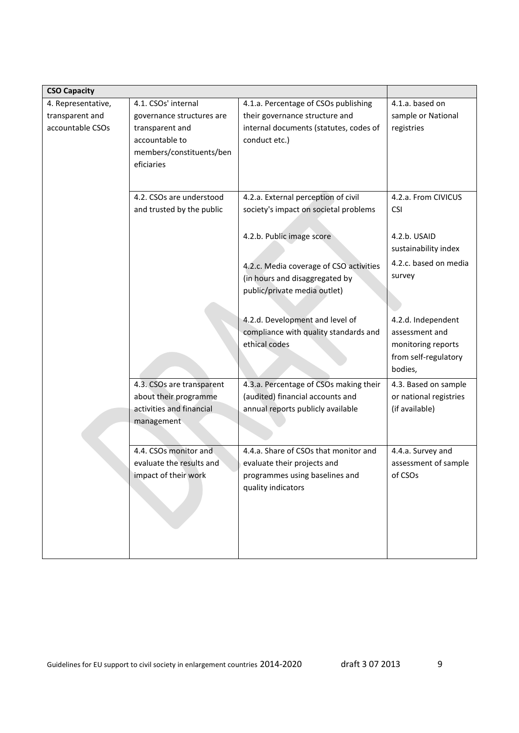| <b>CSO Capacity</b>                                       |                                                                                                                                 |                                                                                                                                   |                                                                                               |
|-----------------------------------------------------------|---------------------------------------------------------------------------------------------------------------------------------|-----------------------------------------------------------------------------------------------------------------------------------|-----------------------------------------------------------------------------------------------|
| 4. Representative,<br>transparent and<br>accountable CSOs | 4.1. CSOs' internal<br>governance structures are<br>transparent and<br>accountable to<br>members/constituents/ben<br>eficiaries | 4.1.a. Percentage of CSOs publishing<br>their governance structure and<br>internal documents (statutes, codes of<br>conduct etc.) | 4.1.a. based on<br>sample or National<br>registries                                           |
|                                                           | 4.2. CSOs are understood<br>and trusted by the public                                                                           | 4.2.a. External perception of civil<br>society's impact on societal problems<br>4.2.b. Public image score                         | 4.2.a. From CIVICUS<br><b>CSI</b><br>4.2.b. USAID                                             |
|                                                           |                                                                                                                                 | 4.2.c. Media coverage of CSO activities<br>(in hours and disaggregated by<br>public/private media outlet)                         | sustainability index<br>4.2.c. based on media<br>survey                                       |
|                                                           |                                                                                                                                 | 4.2.d. Development and level of<br>compliance with quality standards and<br>ethical codes                                         | 4.2.d. Independent<br>assessment and<br>monitoring reports<br>from self-regulatory<br>bodies, |
|                                                           | 4.3. CSOs are transparent<br>about their programme<br>activities and financial<br>management                                    | 4.3.a. Percentage of CSOs making their<br>(audited) financial accounts and<br>annual reports publicly available                   | 4.3. Based on sample<br>or national registries<br>(if available)                              |
|                                                           | 4.4. CSOs monitor and<br>evaluate the results and<br>impact of their work                                                       | 4.4.a. Share of CSOs that monitor and<br>evaluate their projects and<br>programmes using baselines and<br>quality indicators      | 4.4.a. Survey and<br>assessment of sample<br>of CSOs                                          |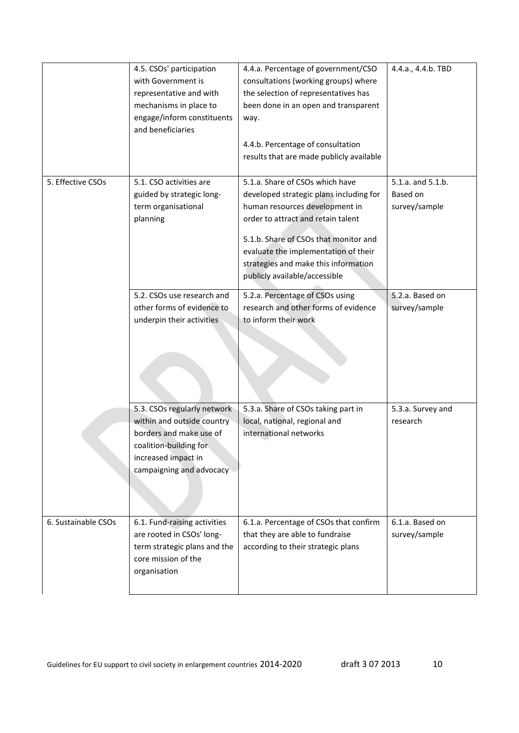|                     | 4.5. CSOs' participation                        | 4.4.a. Percentage of government/CSO      | 4.4.a., 4.4.b. TBD |
|---------------------|-------------------------------------------------|------------------------------------------|--------------------|
|                     | with Government is                              | consultations (working groups) where     |                    |
|                     | representative and with                         | the selection of representatives has     |                    |
|                     | mechanisms in place to                          | been done in an open and transparent     |                    |
|                     | engage/inform constituents<br>and beneficiaries | way.                                     |                    |
|                     |                                                 | 4.4.b. Percentage of consultation        |                    |
|                     |                                                 | results that are made publicly available |                    |
| 5. Effective CSOs   | 5.1. CSO activities are                         | 5.1.a. Share of CSOs which have          | 5.1.a. and 5.1.b.  |
|                     | guided by strategic long-                       | developed strategic plans including for  | Based on           |
|                     | term organisational                             | human resources development in           | survey/sample      |
|                     | planning                                        | order to attract and retain talent       |                    |
|                     |                                                 | 5.1.b. Share of CSOs that monitor and    |                    |
|                     |                                                 | evaluate the implementation of their     |                    |
|                     |                                                 | strategies and make this information     |                    |
|                     |                                                 | publicly available/accessible            |                    |
|                     | 5.2. CSOs use research and                      | 5.2.a. Percentage of CSOs using          | 5.2.a. Based on    |
|                     | other forms of evidence to                      | research and other forms of evidence     | survey/sample      |
|                     | underpin their activities                       | to inform their work                     |                    |
|                     |                                                 |                                          |                    |
|                     |                                                 |                                          |                    |
|                     |                                                 |                                          |                    |
|                     |                                                 |                                          |                    |
|                     |                                                 |                                          |                    |
|                     | 5.3. CSOs regularly network                     | 5.3.a. Share of CSOs taking part in      | 5.3.a. Survey and  |
|                     | within and outside country                      | local, national, regional and            | research           |
|                     | borders and make use of                         | international networks                   |                    |
|                     | coalition-building for                          |                                          |                    |
|                     | increased impact in                             |                                          |                    |
|                     | campaigning and advocacy                        |                                          |                    |
|                     |                                                 |                                          |                    |
|                     |                                                 |                                          |                    |
| 6. Sustainable CSOs | 6.1. Fund-raising activities                    | 6.1.a. Percentage of CSOs that confirm   | 6.1.a. Based on    |
|                     | are rooted in CSOs' long-                       | that they are able to fundraise          | survey/sample      |
|                     | term strategic plans and the                    | according to their strategic plans       |                    |
|                     | core mission of the                             |                                          |                    |
|                     | organisation                                    |                                          |                    |
|                     |                                                 |                                          |                    |
|                     |                                                 |                                          |                    |